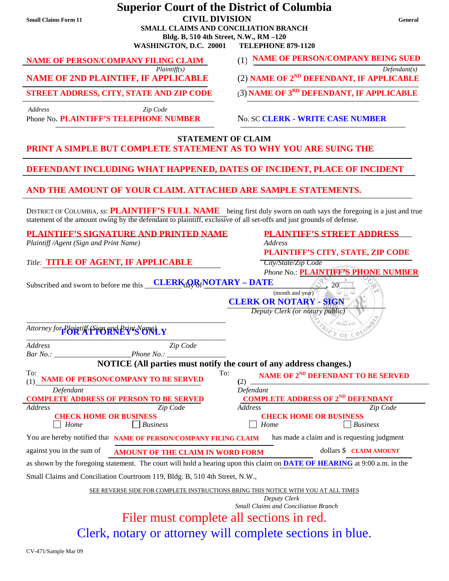| <b>CIVIL DIVISION</b><br><b>Small Claims Form 11</b><br>SMALL CLAIMS AND CONCILIATION BRANCH<br>Bldg. B, 510 4th Street, N.W., RM -120<br>WASHINGTON, D.C. 20001<br><b>TELEPHONE 879-1120</b>                                                                                                                                                                                                                               |                                                  |                                                                                                                               | General                     |
|-----------------------------------------------------------------------------------------------------------------------------------------------------------------------------------------------------------------------------------------------------------------------------------------------------------------------------------------------------------------------------------------------------------------------------|--------------------------------------------------|-------------------------------------------------------------------------------------------------------------------------------|-----------------------------|
| <b>NAME OF PERSON/COMPANY FILING CLAIM</b>                                                                                                                                                                                                                                                                                                                                                                                  |                                                  | NAME OF PERSON/COMPANY BEING SUED<br>(1)                                                                                      |                             |
| Plaintiff(s)<br><b>NAME OF 2ND PLAINTIFF, IF APPLICABLE</b>                                                                                                                                                                                                                                                                                                                                                                 |                                                  | Defendant(s)<br>(2) NAME OF $2^{ND}$ DEFENDANT, IF APPLICABLE                                                                 |                             |
| STREET ADDRESS, CITY, STATE AND ZIP CODE                                                                                                                                                                                                                                                                                                                                                                                    |                                                  | (3) NAME OF 3RD DEFENDANT, IF APPLICABLE                                                                                      |                             |
| <b>Address</b><br>Zip Code<br>Phone No. PLAINTIFF'S TELEPHONE NUMBER                                                                                                                                                                                                                                                                                                                                                        |                                                  | <b>No. SC CLERK - WRITE CASE NUMBER</b>                                                                                       |                             |
|                                                                                                                                                                                                                                                                                                                                                                                                                             |                                                  | <b>STATEMENT OF CLAIM</b><br>PRINT A SIMPLE BUT COMPLETE STATEMENT AS TO WHY YOU ARE SUING THE                                |                             |
|                                                                                                                                                                                                                                                                                                                                                                                                                             |                                                  | DEFENDANT INCLUDING WHAT HAPPENED, DATES OF INCIDENT, PLACE OF INCIDENT                                                       |                             |
| AND THE AMOUNT OF YOUR CLAIM. ATTACHED ARE SAMPLE STATEMENTS.                                                                                                                                                                                                                                                                                                                                                               |                                                  |                                                                                                                               |                             |
| DISTRICT OF COLUMBIA, ss: PLAINTIFF'S FULL NAME being first duly sworn on oath says the foregoing is a just and true<br>statement of the amount owing by the defendant to plaintiff, exclusive of all set-offs and just grounds of defense.<br>PLAINTIFF'S SIGNATURE AND PRINTED NAME<br><b>PLAINTIFF'S STREET ADDRESS</b><br>Plaintiff /Agent (Sign and Print Name)<br><b>Address</b><br>PLAINTIFF'S CITY, STATE, ZIP CODE |                                                  |                                                                                                                               |                             |
| <b>Title: TITLE OF AGENT, IF APPLICABLE</b>                                                                                                                                                                                                                                                                                                                                                                                 |                                                  | City/State/Zip Code<br><b>Phone No.: PLAINTIFF'S PHONE NUMBER</b>                                                             |                             |
| Subscribed and sworn to before me this<br>Attorney for Plaintiff (Sign and Print Name) N                                                                                                                                                                                                                                                                                                                                    | CLERK <sub>d</sub> QR <sub>f</sub> NOTARY - DATE | 20<br>(month and year)<br><b>CLERK OR NOTARY - SIGN</b><br>Deputy Clerk (or notary public)<br><b>VCMLXX</b><br>$C_T$ of $C^0$ |                             |
| Address                                                                                                                                                                                                                                                                                                                                                                                                                     | Zip Code                                         |                                                                                                                               |                             |
| Bar No.:<br>Phone No.:<br>NOTICE (All parties must notify the court of any address changes.)                                                                                                                                                                                                                                                                                                                                |                                                  |                                                                                                                               |                             |
| To:<br>To:<br><b>NAME OF PERSON/COMPANY TO BE SERVED</b><br>(1)<br>Defendant                                                                                                                                                                                                                                                                                                                                                |                                                  | <b>NAME OF 2<sup>ND</sup> DEFENDANT TO BE SERVED</b><br>(2)<br>Defendant                                                      |                             |
| <b>COMPLETE ADDRESS OF PERSON TO BE SERVED</b>                                                                                                                                                                                                                                                                                                                                                                              |                                                  | <b>COMPLETE ADDRESS OF 2<sup>ND</sup> DEFENDANT</b>                                                                           |                             |
| Address<br><b>CHECK HOME OR BUSINESS</b><br>Home                                                                                                                                                                                                                                                                                                                                                                            | Zip Code<br><b>Business</b>                      | <b>Address</b><br><b>CHECK HOME OR BUSINESS</b><br>Home                                                                       | Zip Code<br><b>Business</b> |
| You are hereby notified that NAME OF PERSON/COMPANY FILING CLAIM                                                                                                                                                                                                                                                                                                                                                            |                                                  | has made a claim and is requesting judgment                                                                                   |                             |
| dollars \$ CLAIM AMOUNT<br>against you in the sum of<br><b>AMOUNT OF THE CLAIM IN WORD FORM</b>                                                                                                                                                                                                                                                                                                                             |                                                  |                                                                                                                               |                             |
| as shown by the foregoing statement. The court will hold a hearing upon this claim on DATE OF HEARING at 9:00 a.m. in the                                                                                                                                                                                                                                                                                                   |                                                  |                                                                                                                               |                             |
| Small Claims and Conciliation Courtroom 119, Bldg. B, 510 4th Street, N.W.,                                                                                                                                                                                                                                                                                                                                                 |                                                  |                                                                                                                               |                             |
| SEE REVERSE SIDE FOR COMPLETE INSTRUCTIONS BRING THIS NOTICE WITH YOU AT ALL TIMES<br>Deputy Clerk<br>Small Claims and Conciliation Branch                                                                                                                                                                                                                                                                                  |                                                  |                                                                                                                               |                             |
| Filer must complete all sections in red.                                                                                                                                                                                                                                                                                                                                                                                    |                                                  |                                                                                                                               |                             |

**Superior Court of the District of Columbia**

Clerk, notary or attorney will complete sections in blue.